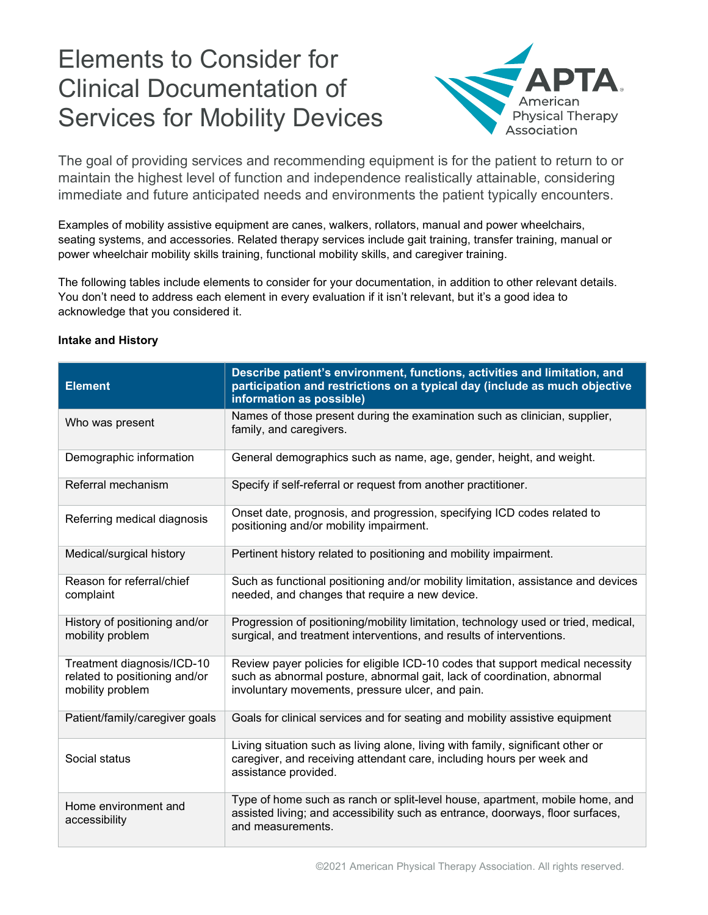# Elements to Consider for Clinical Documentation of Services for Mobility Devices



The goal of providing services and recommending equipment is for the patient to return to or maintain the highest level of function and independence realistically attainable, considering immediate and future anticipated needs and environments the patient typically encounters.

Examples of mobility assistive equipment are canes, walkers, rollators, manual and power wheelchairs, seating systems, and accessories. Related therapy services include gait training, transfer training, manual or power wheelchair mobility skills training, functional mobility skills, and caregiver training.

The following tables include elements to consider for your documentation, in addition to other relevant details. You don't need to address each element in every evaluation if it isn't relevant, but it's a good idea to acknowledge that you considered it.

#### **Intake and History**

| <b>Element</b>                                                                  | Describe patient's environment, functions, activities and limitation, and<br>participation and restrictions on a typical day (include as much objective<br>information as possible)                           |
|---------------------------------------------------------------------------------|---------------------------------------------------------------------------------------------------------------------------------------------------------------------------------------------------------------|
| Who was present                                                                 | Names of those present during the examination such as clinician, supplier,<br>family, and caregivers.                                                                                                         |
| Demographic information                                                         | General demographics such as name, age, gender, height, and weight.                                                                                                                                           |
| Referral mechanism                                                              | Specify if self-referral or request from another practitioner.                                                                                                                                                |
| Referring medical diagnosis                                                     | Onset date, prognosis, and progression, specifying ICD codes related to<br>positioning and/or mobility impairment.                                                                                            |
| Medical/surgical history                                                        | Pertinent history related to positioning and mobility impairment.                                                                                                                                             |
| Reason for referral/chief<br>complaint                                          | Such as functional positioning and/or mobility limitation, assistance and devices<br>needed, and changes that require a new device.                                                                           |
| History of positioning and/or<br>mobility problem                               | Progression of positioning/mobility limitation, technology used or tried, medical,<br>surgical, and treatment interventions, and results of interventions.                                                    |
| Treatment diagnosis/ICD-10<br>related to positioning and/or<br>mobility problem | Review payer policies for eligible ICD-10 codes that support medical necessity<br>such as abnormal posture, abnormal gait, lack of coordination, abnormal<br>involuntary movements, pressure ulcer, and pain. |
| Patient/family/caregiver goals                                                  | Goals for clinical services and for seating and mobility assistive equipment                                                                                                                                  |
| Social status                                                                   | Living situation such as living alone, living with family, significant other or<br>caregiver, and receiving attendant care, including hours per week and<br>assistance provided.                              |
| Home environment and<br>accessibility                                           | Type of home such as ranch or split-level house, apartment, mobile home, and<br>assisted living; and accessibility such as entrance, doorways, floor surfaces,<br>and measurements.                           |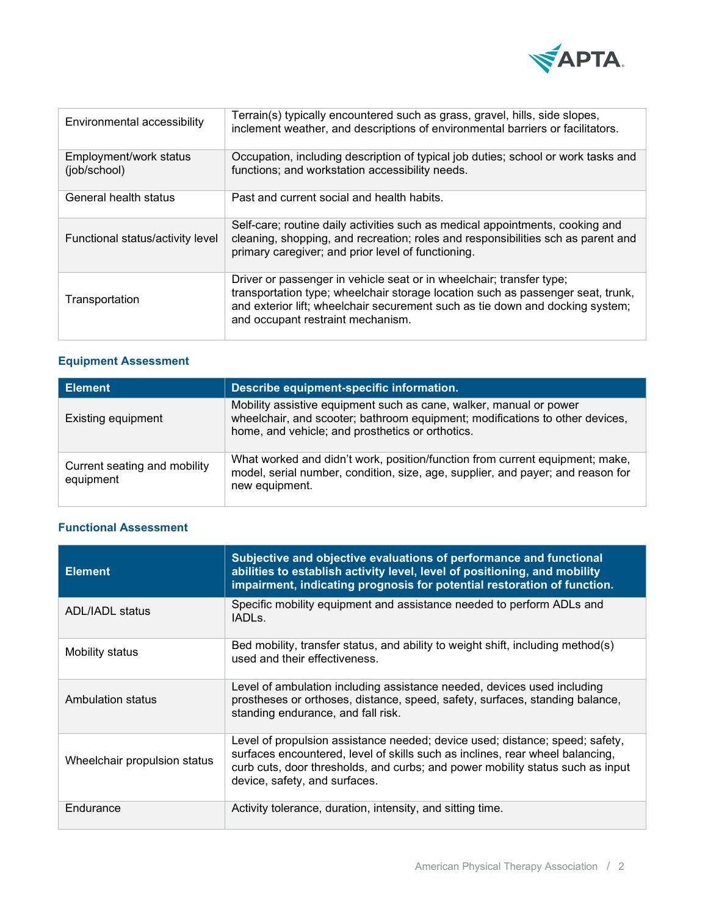

| Environmental accessibility            | Terrain(s) typically encountered such as grass, gravel, hills, side slopes,<br>inclement weather, and descriptions of environmental barriers or facilitators.                                                                                                                 |
|----------------------------------------|-------------------------------------------------------------------------------------------------------------------------------------------------------------------------------------------------------------------------------------------------------------------------------|
| Employment/work status<br>(job/school) | Occupation, including description of typical job duties; school or work tasks and<br>functions; and workstation accessibility needs.                                                                                                                                          |
| General health status                  | Past and current social and health habits.                                                                                                                                                                                                                                    |
| Functional status/activity level       | Self-care; routine daily activities such as medical appointments, cooking and<br>cleaning, shopping, and recreation; roles and responsibilities sch as parent and<br>primary caregiver; and prior level of functioning.                                                       |
| Transportation                         | Driver or passenger in vehicle seat or in wheelchair; transfer type;<br>transportation type; wheelchair storage location such as passenger seat, trunk,<br>and exterior lift; wheelchair securement such as tie down and docking system;<br>and occupant restraint mechanism. |

# **Equipment Assessment**

| <b>Element</b>                            | Describe equipment-specific information.                                                                                                                                                               |
|-------------------------------------------|--------------------------------------------------------------------------------------------------------------------------------------------------------------------------------------------------------|
| Existing equipment                        | Mobility assistive equipment such as cane, walker, manual or power<br>wheelchair, and scooter; bathroom equipment; modifications to other devices,<br>home, and vehicle; and prosthetics or orthotics. |
| Current seating and mobility<br>equipment | What worked and didn't work, position/function from current equipment; make,<br>model, serial number, condition, size, age, supplier, and payer; and reason for<br>new equipment.                      |

# **Functional Assessment**

| <b>Element</b>               | Subjective and objective evaluations of performance and functional<br>abilities to establish activity level, level of positioning, and mobility<br>impairment, indicating prognosis for potential restoration of function.                                                       |
|------------------------------|----------------------------------------------------------------------------------------------------------------------------------------------------------------------------------------------------------------------------------------------------------------------------------|
| <b>ADL/IADL status</b>       | Specific mobility equipment and assistance needed to perform ADLs and<br>IADL <sub>S</sub>                                                                                                                                                                                       |
| Mobility status              | Bed mobility, transfer status, and ability to weight shift, including method(s)<br>used and their effectiveness.                                                                                                                                                                 |
| Ambulation status            | Level of ambulation including assistance needed, devices used including<br>prostheses or orthoses, distance, speed, safety, surfaces, standing balance,<br>standing endurance, and fall risk.                                                                                    |
| Wheelchair propulsion status | Level of propulsion assistance needed; device used; distance; speed; safety,<br>surfaces encountered, level of skills such as inclines, rear wheel balancing,<br>curb cuts, door thresholds, and curbs; and power mobility status such as input<br>device, safety, and surfaces. |
| Endurance                    | Activity tolerance, duration, intensity, and sitting time.                                                                                                                                                                                                                       |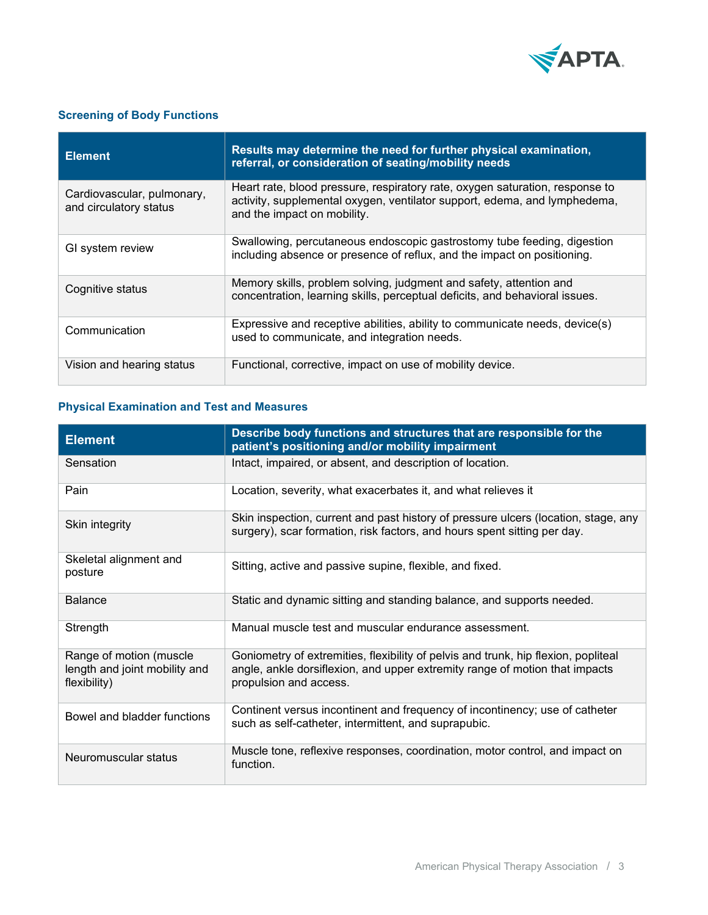

# **Screening of Body Functions**

| <b>Element</b>                                       | Results may determine the need for further physical examination,<br>referral, or consideration of seating/mobility needs                                                                 |
|------------------------------------------------------|------------------------------------------------------------------------------------------------------------------------------------------------------------------------------------------|
| Cardiovascular, pulmonary,<br>and circulatory status | Heart rate, blood pressure, respiratory rate, oxygen saturation, response to<br>activity, supplemental oxygen, ventilator support, edema, and lymphedema,<br>and the impact on mobility. |
| GI system review                                     | Swallowing, percutaneous endoscopic gastrostomy tube feeding, digestion<br>including absence or presence of reflux, and the impact on positioning.                                       |
| Cognitive status                                     | Memory skills, problem solving, judgment and safety, attention and<br>concentration, learning skills, perceptual deficits, and behavioral issues.                                        |
| Communication                                        | Expressive and receptive abilities, ability to communicate needs, device(s)<br>used to communicate, and integration needs.                                                               |
| Vision and hearing status                            | Functional, corrective, impact on use of mobility device.                                                                                                                                |

## **Physical Examination and Test and Measures**

| <b>Element</b>                                                           | Describe body functions and structures that are responsible for the<br>patient's positioning and/or mobility impairment                                                                     |
|--------------------------------------------------------------------------|---------------------------------------------------------------------------------------------------------------------------------------------------------------------------------------------|
| Sensation                                                                | Intact, impaired, or absent, and description of location.                                                                                                                                   |
| Pain                                                                     | Location, severity, what exacerbates it, and what relieves it                                                                                                                               |
| Skin integrity                                                           | Skin inspection, current and past history of pressure ulcers (location, stage, any<br>surgery), scar formation, risk factors, and hours spent sitting per day.                              |
| Skeletal alignment and<br>posture                                        | Sitting, active and passive supine, flexible, and fixed.                                                                                                                                    |
| <b>Balance</b>                                                           | Static and dynamic sitting and standing balance, and supports needed.                                                                                                                       |
| Strength                                                                 | Manual muscle test and muscular endurance assessment.                                                                                                                                       |
| Range of motion (muscle<br>length and joint mobility and<br>flexibility) | Goniometry of extremities, flexibility of pelvis and trunk, hip flexion, popliteal<br>angle, ankle dorsiflexion, and upper extremity range of motion that impacts<br>propulsion and access. |
| Bowel and bladder functions                                              | Continent versus incontinent and frequency of incontinency; use of catheter<br>such as self-catheter, intermittent, and suprapubic.                                                         |
| Neuromuscular status                                                     | Muscle tone, reflexive responses, coordination, motor control, and impact on<br>function.                                                                                                   |